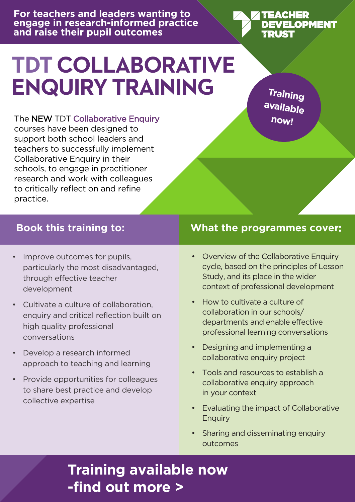**For teachers and leaders wanting to engage in research-informed practice and raise their pupil outcomes**

# **TDT COLLABORATIVE ENQUIRY TRAINING**

**Training available now!**

**TEACHER** 

**ZRUST** 

DEVELOPMENT

The NEW TDT Collaborative Enquiry courses have been designed to support both school leaders and teachers to successfully implement Collaborative Enquiry in their schools, to engage in practitioner research and work with colleagues to critically reflect on and refine practice.

- Improve outcomes for pupils, particularly the most disadvantaged, through effective teacher development
- Cultivate a culture of collaboration, enquiry and critical reflection built on high quality professional conversations
- Develop a research informed approach to teaching and learning
- Provide opportunities for colleagues to share best practice and develop collective expertise

#### **Book this training to: What the programmes cover:**

- Overview of the Collaborative Enquiry cycle, based on the principles of Lesson Study, and its place in the wider context of professional development
- How to cultivate a culture of collaboration in our schools/ departments and enable effective professional learning conversations
- Designing and implementing a collaborative enquiry project
- Tools and resources to establish a collaborative enquiry approach in your context
- Evaluating the impact of Collaborative Enquiry
- Sharing and disseminating enquiry outcomes

#### **[Training available now](https://tdtrust.org/collaborative-enquiry-training/)  -find out more >**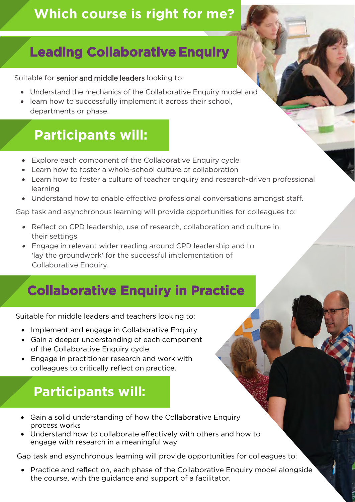#### **Which course is right for me?**

## **Leading Collaborative Enquiry**

Suitable for senior and middle leaders looking to:

- Understand the mechanics of the Collaborative Enquiry model and
- learn how to successfully implement it across their school, departments or phase.

### **Participants will:**

- Explore each component of the Collaborative Enquiry cycle
- Learn how to foster a whole-school culture of collaboration
- Learn how to foster a culture of teacher enquiry and research-driven professional learning
- Understand how to enable effective professional conversations amongst staff.

Gap task and asynchronous learning will provide opportunities for colleagues to:

- Reflect on CPD leadership, use of research, collaboration and culture in their settings
- Engage in relevant wider reading around CPD leadership and to 'lay the groundwork' for the successful implementation of Collaborative Enquiry.

#### **Collaborative Enquiry in Practice**

Suitable for middle leaders and teachers looking to:

- Implement and engage in Collaborative Enquiry
- Gain a deeper understanding of each component of the Collaborative Enquiry cycle
- Engage in practitioner research and work with colleagues to critically reflect on practice.

## **Participants will:**

- Gain a solid understanding of how the Collaborative Enquiry process works
- Understand how to collaborate effectively with others and how to engage with research in a meaningful way

Gap task and asynchronous learning will provide opportunities for colleagues to:

• Practice and reflect on, each phase of the Collaborative Enquiry model alongside the course, with the guidance and support of a facilitator.